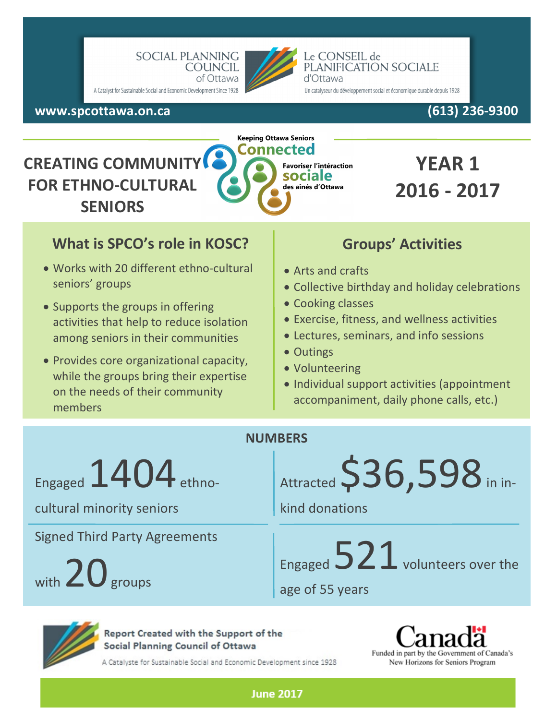

#### Le CONSEIL de PLANIFICATION SOCIALE d'Ottawa

Un catalyseur du développement social et économique durable depuis 1928

**www.spcottawa.on.ca (613) 236-9300**

http://www.cnsp

# **CREATING COMMUNIT FOR ETHNO-CULTURAL SENIORS**



# **YEAR 1 2016 - 2017**

### **What is SPCO's role in KOSC?**

- Works with 20 different ethno-cultural seniors' groups
- Supports the groups in offering activities that help to reduce isolation among seniors in their communities
- Provides core organizational capacity, while the groups bring their expertise on the needs of their community members

## **Groups' Activities**

- Arts and crafts
- Collective birthday and holiday celebrations
- Cooking classes
- Exercise, fitness, and wellness activities
- Lectures, seminars, and info sessions
- Outings
- Volunteering
- Individual support activities (appointment accompaniment, daily phone calls, etc.)

#### **NUMBERS**

**June 2017** 

Engaged  $1404$  ethno-

cultural minority seniors

Signed Third Party Agreements

with  $20<sub>groups</sub>$ 

Attracted  $$36,598$  in in-

kind donations

Engaged  $521$  volunteers over the

age of 55 years



Report Created with the Support of the Social Planning Council of Ottawa

A Catalyste for Sustainable Social and Economic Development since 1928